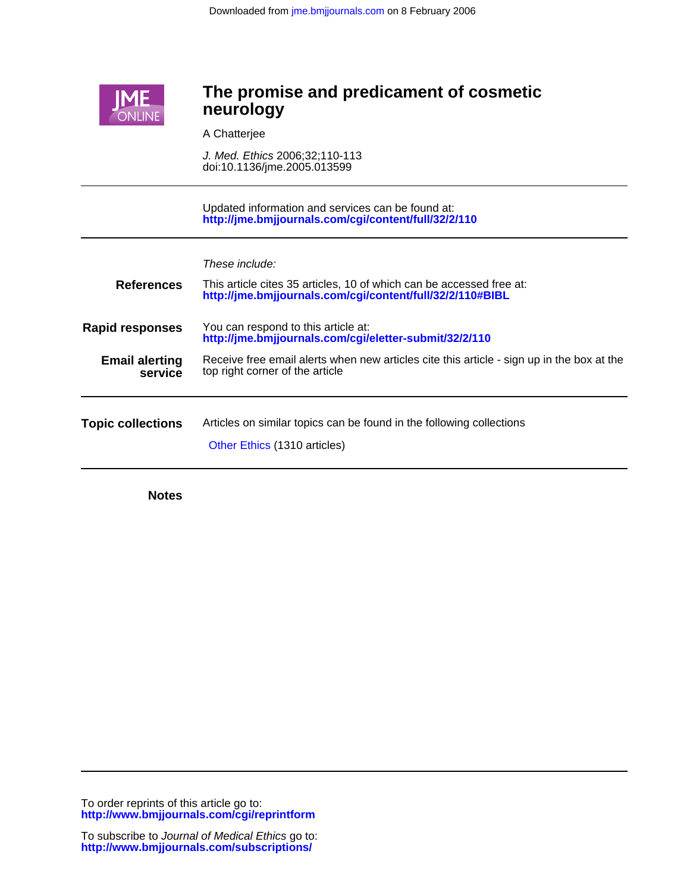

# **neurology The promise and predicament of cosmetic**

A Chatterjee

doi:10.1136/jme.2005.013599 J. Med. Ethics 2006;32;110-113

**<http://jme.bmjjournals.com/cgi/content/full/32/2/110>** Updated information and services can be found at:

| These include: |  |
|----------------|--|
|                |  |

| <b>References</b>                | This article cites 35 articles, 10 of which can be accessed free at:<br>http://jme.bmjjournals.com/cgi/content/full/32/2/110#BIBL |
|----------------------------------|-----------------------------------------------------------------------------------------------------------------------------------|
| <b>Rapid responses</b>           | You can respond to this article at:<br>http://jme.bmjjournals.com/cgi/eletter-submit/32/2/110                                     |
| <b>Email alerting</b><br>service | Receive free email alerts when new articles cite this article - sign up in the box at the<br>top right corner of the article      |
| <b>Topic collections</b>         | Articles on similar topics can be found in the following collections<br>Other Ethics (1310 articles)                              |
|                                  |                                                                                                                                   |

**Notes**

**<http://www.bmjjournals.com/cgi/reprintform>** To order reprints of this article go to: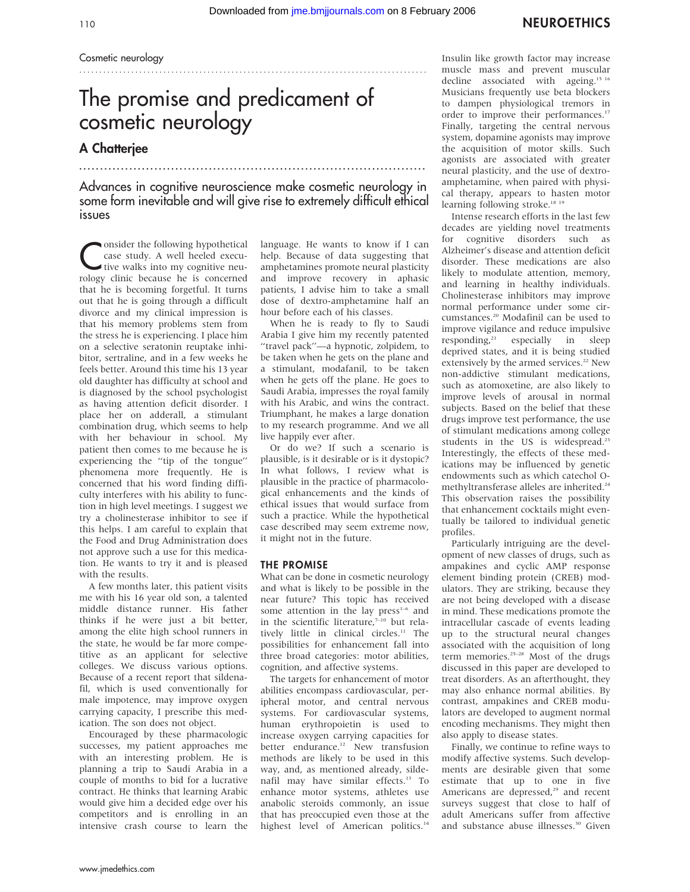#### Cosmetic neurology ............................................................... ........................

# The promise and predicament of cosmetic neurology

............................................................... ....................

## A Chatterjee

Advances in cognitive neuroscience make cosmetic neurology in some form inevitable and will give rise to extremely difficult ethical issues

Consider the following hypothetical<br>case study. A well heeled execu-<br>tive walks into my cognitive neu-<br>release shift is because is an approached case study. A well heeled execurology clinic because he is concerned that he is becoming forgetful. It turns out that he is going through a difficult divorce and my clinical impression is that his memory problems stem from the stress he is experiencing. I place him on a selective seratonin reuptake inhibitor, sertraline, and in a few weeks he feels better. Around this time his 13 year old daughter has difficulty at school and is diagnosed by the school psychologist as having attention deficit disorder. I place her on adderall, a stimulant combination drug, which seems to help with her behaviour in school. My patient then comes to me because he is experiencing the ''tip of the tongue'' phenomena more frequently. He is concerned that his word finding difficulty interferes with his ability to function in high level meetings. I suggest we try a cholinesterase inhibitor to see if this helps. I am careful to explain that the Food and Drug Administration does not approve such a use for this medication. He wants to try it and is pleased with the results.

A few months later, this patient visits me with his 16 year old son, a talented middle distance runner. His father thinks if he were just a bit better, among the elite high school runners in the state, he would be far more competitive as an applicant for selective colleges. We discuss various options. Because of a recent report that sildenafil, which is used conventionally for male impotence, may improve oxygen carrying capacity, I prescribe this medication. The son does not object.

Encouraged by these pharmacologic successes, my patient approaches me with an interesting problem. He is planning a trip to Saudi Arabia in a couple of months to bid for a lucrative contract. He thinks that learning Arabic would give him a decided edge over his competitors and is enrolling in an intensive crash course to learn the language. He wants to know if I can help. Because of data suggesting that amphetamines promote neural plasticity and improve recovery in aphasic patients, I advise him to take a small dose of dextro-amphetamine half an hour before each of his classes.

When he is ready to fly to Saudi Arabia I give him my recently patented "travel pack"-a hypnotic, zolpidem, to be taken when he gets on the plane and a stimulant, modafanil, to be taken when he gets off the plane. He goes to Saudi Arabia, impresses the royal family with his Arabic, and wins the contract. Triumphant, he makes a large donation to my research programme. And we all live happily ever after.

Or do we? If such a scenario is plausible, is it desirable or is it dystopic? In what follows, I review what is plausible in the practice of pharmacological enhancements and the kinds of ethical issues that would surface from such a practice. While the hypothetical case described may seem extreme now, it might not in the future.

### THE PROMISE

What can be done in cosmetic neurology and what is likely to be possible in the near future? This topic has received some attention in the lay press<sup>1-6</sup> and in the scientific literature, $7-10$  but relatively little in clinical circles.<sup>11</sup> The possibilities for enhancement fall into three broad categories: motor abilities, cognition, and affective systems.

The targets for enhancement of motor abilities encompass cardiovascular, peripheral motor, and central nervous systems. For cardiovascular systems, human erythropoietin is used to increase oxygen carrying capacities for better endurance.<sup>12</sup> New transfusion methods are likely to be used in this way, and, as mentioned already, sildenafil may have similar effects.<sup>13</sup> To enhance motor systems, athletes use anabolic steroids commonly, an issue that has preoccupied even those at the highest level of American politics.<sup>14</sup>

Insulin like growth factor may increase muscle mass and prevent muscular decline associated with ageing.<sup>15 16</sup> Musicians frequently use beta blockers to dampen physiological tremors in order to improve their performances.<sup>17</sup> Finally, targeting the central nervous system, dopamine agonists may improve the acquisition of motor skills. Such agonists are associated with greater neural plasticity, and the use of dextroamphetamine, when paired with physical therapy, appears to hasten motor learning following stroke.<sup>18 19</sup>

Intense research efforts in the last few decades are yielding novel treatments for cognitive disorders such as Alzheimer's disease and attention deficit disorder. These medications are also likely to modulate attention, memory, and learning in healthy individuals. Cholinesterase inhibitors may improve normal performance under some circumstances.20 Modafinil can be used to improve vigilance and reduce impulsive<br>responding, $2^1$  especially in sleep especially in sleep deprived states, and it is being studied extensively by the armed services.<sup>22</sup> New non-addictive stimulant medications, such as atomoxetine, are also likely to improve levels of arousal in normal subjects. Based on the belief that these drugs improve test performance, the use of stimulant medications among college students in the US is widespread.<sup>23</sup> Interestingly, the effects of these medications may be influenced by genetic endowments such as which catechol Omethyltransferase alleles are inherited.<sup>24</sup> This observation raises the possibility that enhancement cocktails might eventually be tailored to individual genetic profiles.

Particularly intriguing are the development of new classes of drugs, such as ampakines and cyclic AMP response element binding protein (CREB) modulators. They are striking, because they are not being developed with a disease in mind. These medications promote the intracellular cascade of events leading up to the structural neural changes associated with the acquisition of long term memories.<sup>25-28</sup> Most of the drugs discussed in this paper are developed to treat disorders. As an afterthought, they may also enhance normal abilities. By contrast, ampakines and CREB modulators are developed to augment normal encoding mechanisms. They might then also apply to disease states.

Finally, we continue to refine ways to modify affective systems. Such developments are desirable given that some estimate that up to one in five Americans are depressed,<sup>29</sup> and recent surveys suggest that close to half of adult Americans suffer from affective and substance abuse illnesses.<sup>30</sup> Given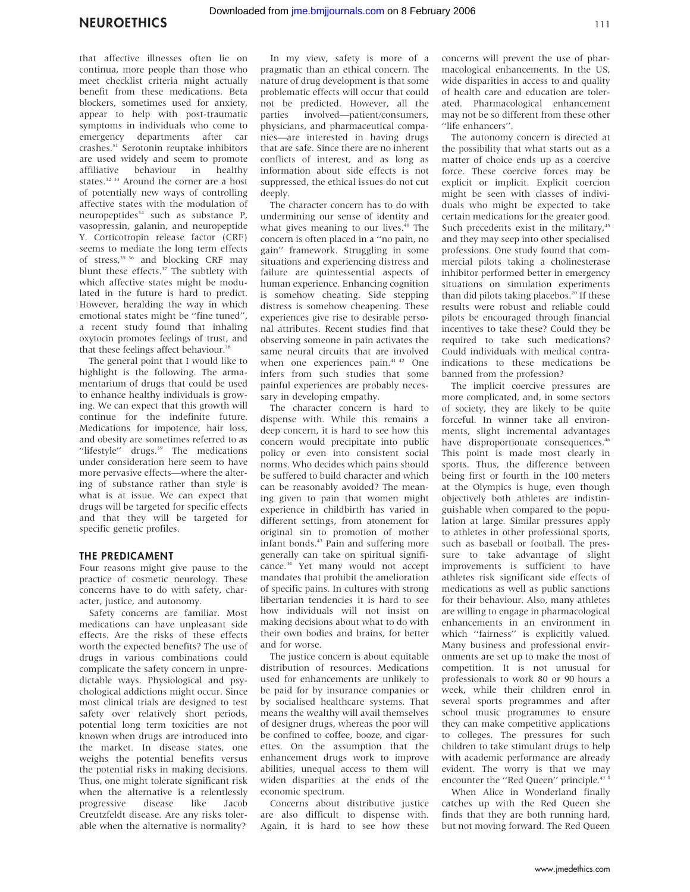that affective illnesses often lie on continua, more people than those who meet checklist criteria might actually benefit from these medications. Beta blockers, sometimes used for anxiety, appear to help with post-traumatic symptoms in individuals who come to emergency departments after car crashes.31 Serotonin reuptake inhibitors are used widely and seem to promote affiliative behaviour in healthy states.<sup>32</sup> <sup>33</sup> Around the corner are a host of potentially new ways of controlling affective states with the modulation of neuropeptides<sup>34</sup> such as substance P, vasopressin, galanin, and neuropeptide Y. Corticotropin release factor (CRF) seems to mediate the long term effects of stress,<sup>35 36</sup> and blocking CRF may blunt these effects.<sup>37</sup> The subtlety with which affective states might be modulated in the future is hard to predict. However, heralding the way in which emotional states might be ''fine tuned'', a recent study found that inhaling oxytocin promotes feelings of trust, and that these feelings affect behaviour.<sup>38</sup>

The general point that I would like to highlight is the following. The armamentarium of drugs that could be used to enhance healthy individuals is growing. We can expect that this growth will continue for the indefinite future. Medications for impotence, hair loss, and obesity are sometimes referred to as "lifestyle" drugs.<sup>39</sup> The medications under consideration here seem to have more pervasive effects—where the altering of substance rather than style is what is at issue. We can expect that drugs will be targeted for specific effects and that they will be targeted for specific genetic profiles.

#### THE PREDICAMENT

Four reasons might give pause to the practice of cosmetic neurology. These concerns have to do with safety, character, justice, and autonomy.

Safety concerns are familiar. Most medications can have unpleasant side effects. Are the risks of these effects worth the expected benefits? The use of drugs in various combinations could complicate the safety concern in unpredictable ways. Physiological and psychological addictions might occur. Since most clinical trials are designed to test safety over relatively short periods, potential long term toxicities are not known when drugs are introduced into the market. In disease states, one weighs the potential benefits versus the potential risks in making decisions. Thus, one might tolerate significant risk when the alternative is a relentlessly<br>progressive disease like Jacob progressive disease like Jacob Creutzfeldt disease. Are any risks tolerable when the alternative is normality?

In my view, safety is more of a pragmatic than an ethical concern. The nature of drug development is that some problematic effects will occur that could not be predicted. However, all the parties involved—patient/consumers, physicians, and pharmaceutical companies—are interested in having drugs that are safe. Since there are no inherent conflicts of interest, and as long as information about side effects is not suppressed, the ethical issues do not cut deeply.

The character concern has to do with undermining our sense of identity and what gives meaning to our lives.<sup>40</sup> The concern is often placed in a ''no pain, no gain'' framework. Struggling in some situations and experiencing distress and failure are quintessential aspects of human experience. Enhancing cognition is somehow cheating. Side stepping distress is somehow cheapening. These experiences give rise to desirable personal attributes. Recent studies find that observing someone in pain activates the same neural circuits that are involved when one experiences pain.<sup>41 42</sup> One infers from such studies that some painful experiences are probably necessary in developing empathy.

The character concern is hard to dispense with. While this remains a deep concern, it is hard to see how this concern would precipitate into public policy or even into consistent social norms. Who decides which pains should be suffered to build character and which can be reasonably avoided? The meaning given to pain that women might experience in childbirth has varied in different settings, from atonement for original sin to promotion of mother infant bonds.43 Pain and suffering more generally can take on spiritual significance.44 Yet many would not accept mandates that prohibit the amelioration of specific pains. In cultures with strong libertarian tendencies it is hard to see how individuals will not insist on making decisions about what to do with their own bodies and brains, for better and for worse.

The justice concern is about equitable distribution of resources. Medications used for enhancements are unlikely to be paid for by insurance companies or by socialised healthcare systems. That means the wealthy will avail themselves of designer drugs, whereas the poor will be confined to coffee, booze, and cigarettes. On the assumption that the enhancement drugs work to improve abilities, unequal access to them will widen disparities at the ends of the economic spectrum.

Concerns about distributive justice are also difficult to dispense with. Again, it is hard to see how these concerns will prevent the use of pharmacological enhancements. In the US, wide disparities in access to and quality of health care and education are tolerated. Pharmacological enhancement may not be so different from these other ''life enhancers''.

The autonomy concern is directed at the possibility that what starts out as a matter of choice ends up as a coercive force. These coercive forces may be explicit or implicit. Explicit coercion might be seen with classes of individuals who might be expected to take certain medications for the greater good. Such precedents exist in the military,<sup>45</sup> and they may seep into other specialised professions. One study found that commercial pilots taking a cholinesterase inhibitor performed better in emergency situations on simulation experiments than did pilots taking placebos.<sup>20</sup> If these results were robust and reliable could pilots be encouraged through financial incentives to take these? Could they be required to take such medications? Could individuals with medical contraindications to these medications be banned from the profession?

The implicit coercive pressures are more complicated, and, in some sectors of society, they are likely to be quite forceful. In winner take all environments, slight incremental advantages have disproportionate consequences.<sup>46</sup> This point is made most clearly in sports. Thus, the difference between being first or fourth in the 100 meters at the Olympics is huge, even though objectively both athletes are indistinguishable when compared to the population at large. Similar pressures apply to athletes in other professional sports, such as baseball or football. The pressure to take advantage of slight improvements is sufficient to have athletes risk significant side effects of medications as well as public sanctions for their behaviour. Also, many athletes are willing to engage in pharmacological enhancements in an environment in which "fairness" is explicitly valued. Many business and professional environments are set up to make the most of competition. It is not unusual for professionals to work 80 or 90 hours a week, while their children enrol in several sports programmes and after school music programmes to ensure they can make competitive applications to colleges. The pressures for such children to take stimulant drugs to help with academic performance are already evident. The worry is that we may encounter the "Red Queen" principle.<sup>47</sup>

When Alice in Wonderland finally catches up with the Red Queen she finds that they are both running hard, but not moving forward. The Red Queen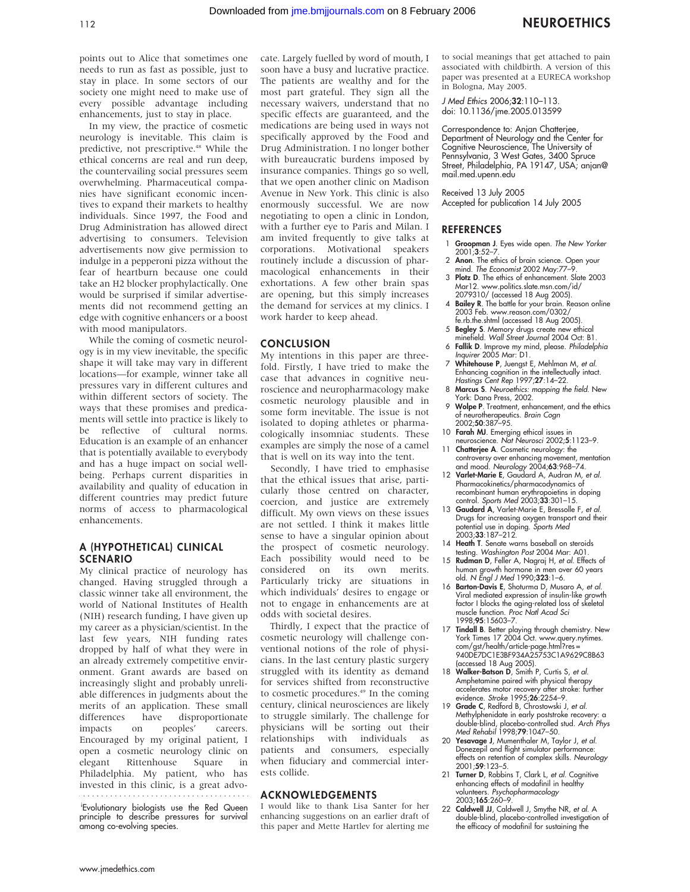points out to Alice that sometimes one needs to run as fast as possible, just to

stay in place. In some sectors of our society one might need to make use of every possible advantage including enhancements, just to stay in place.

In my view, the practice of cosmetic neurology is inevitable. This claim is predictive, not prescriptive.<sup>48</sup> While the ethical concerns are real and run deep, the countervailing social pressures seem overwhelming. Pharmaceutical companies have significant economic incentives to expand their markets to healthy individuals. Since 1997, the Food and Drug Administration has allowed direct advertising to consumers. Television advertisements now give permission to indulge in a pepperoni pizza without the fear of heartburn because one could take an H2 blocker prophylactically. One would be surprised if similar advertisements did not recommend getting an edge with cognitive enhancers or a boost with mood manipulators.

While the coming of cosmetic neurology is in my view inevitable, the specific shape it will take may vary in different locations—for example, winner take all pressures vary in different cultures and within different sectors of society. The ways that these promises and predicaments will settle into practice is likely to be reflective of cultural norms. Education is an example of an enhancer that is potentially available to everybody and has a huge impact on social wellbeing. Perhaps current disparities in availability and quality of education in different countries may predict future norms of access to pharmacological enhancements.

## A (HYPOTHETICAL) CLINICAL SCENARIO

My clinical practice of neurology has changed. Having struggled through a classic winner take all environment, the world of National Institutes of Health (NIH) research funding, I have given up my career as a physician/scientist. In the last few years, NIH funding rates dropped by half of what they were in an already extremely competitive environment. Grant awards are based on increasingly slight and probably unreliable differences in judgments about the merits of an application. These small differences have disproportionate impacts on peoples' careers. Encouraged by my original patient, I open a cosmetic neurology clinic on<br>elegant Rittenhouse Square in elegant Rittenhouse Square in Philadelphia. My patient, who has invested in this clinic, is a great advo-

i Evolutionary biologists use the Red Queen principle to describe pressures for survival among co-evolving species.

cate. Largely fuelled by word of mouth, I soon have a busy and lucrative practice. The patients are wealthy and for the most part grateful. They sign all the necessary waivers, understand that no specific effects are guaranteed, and the medications are being used in ways not specifically approved by the Food and Drug Administration. I no longer bother with bureaucratic burdens imposed by insurance companies. Things go so well, that we open another clinic on Madison Avenue in New York. This clinic is also enormously successful. We are now negotiating to open a clinic in London, with a further eye to Paris and Milan. I am invited frequently to give talks at corporations. Motivational speakers routinely include a discussion of pharmacological enhancements in their exhortations. A few other brain spas are opening, but this simply increases the demand for services at my clinics. I work harder to keep ahead.

#### **CONCLUSION**

My intentions in this paper are threefold. Firstly, I have tried to make the case that advances in cognitive neuroscience and neuropharmacology make cosmetic neurology plausible and in some form inevitable. The issue is not isolated to doping athletes or pharmacologically insomniac students. These examples are simply the nose of a camel that is well on its way into the tent.

Secondly, I have tried to emphasise that the ethical issues that arise, particularly those centred on character, coercion, and justice are extremely difficult. My own views on these issues are not settled. I think it makes little sense to have a singular opinion about the prospect of cosmetic neurology. Each possibility would need to be considered on its own merits. Particularly tricky are situations in which individuals' desires to engage or not to engage in enhancements are at odds with societal desires.

Thirdly, I expect that the practice of cosmetic neurology will challenge conventional notions of the role of physicians. In the last century plastic surgery struggled with its identity as demand for services shifted from reconstructive to cosmetic procedures.<sup>49</sup> In the coming century, clinical neurosciences are likely to struggle similarly. The challenge for physicians will be sorting out their relationships with individuals as patients and consumers, especially when fiduciary and commercial interests collide.

#### ACKNOWLEDGEMENTS

I would like to thank Lisa Santer for her enhancing suggestions on an earlier draft of this paper and Mette Hartlev for alerting me to social meanings that get attached to pain associated with childbirth. A version of this paper was presented at a EURECA workshop in Bologna, May 2005.

J Med Ethics 2006;32:110–113. doi: 10.1136/jme.2005.013599

Correspondence to: Anjan Chatterjee, Department of Neurology and the Center for Cognitive Neuroscience, The University of Pennsylvania, 3 West Gates, 3400 Spruce Street, Philadelphia, PA 19147, USA; anjan@ mail.med.upenn.edu

Received 13 July 2005

Accepted for publication 14 July 2005

#### **REFERENCES**

- 1 Groopman J. Eyes wide open. The New Yorker 2001;3:52–7.
- 2 Anon. The ethics of brain science. Open your mind. The Economist 2002 May:77–9.
- 3 Plotz D. The ethics of enhancement. Slate 2003 Mar12. www.politics.slate.msn.com/id/ 2079310/ (accessed 18 Aug 2005).
- 4 Bailey R. The battle for your brain. Reason online 2003 Feb. www.reason.com/0302/ fe.rb.the.shtml (accessed 18 Aug 2005).
- 5 Begley S. Memory drugs create new ethical minefield. Wall Street Journal 2004 Oct: B1.
- 6 Fallik D. Improve my mind, please. Philadelphia Inquirer 2005 Mar: D1.
- 7 Whitehouse P, Juengst E, Mehlman M, et al. Enhancing cognition in the intellectually intact. Hastings Cent Rep 1997;27:14–22.
- 8 Marcus S. Neuroethics: mapping the field. New York: Dana Press, 2002.
- 9 Wolpe P. Treatment, enhancement, and the ethics of neurotherapeutics. Brain Cogn 2002;50:387–95.
- 10 Farah MJ. Emerging ethical issues in neuroscience. Nat Neurosci 2002;5:1123–9. 11 **Chatterjee A**. Cosmetic neurology: the
- controversy over enhancing movement, mentation and mood. Neurology 2004;63:968-74.
- 12 Varlet-Marie E, Gaudard A, Audran M, et al. Pharmacokinetics/pharmacodynamics of recombinant human erythropoietins in doping control. Sports Med 2003;33:301–15.
- 13 Gaudard A, Varlet-Marie E, Bressolle F, et al. Drugs for increasing oxygen transport and their potential use in doping. Sports Med 2003;33:187–212.
- 14 Heath T. Senate warns baseball on steroids testing. Washington Post 2004 Mar: A01.
- 15 Rudman D, Feller A, Nagraj H, et al. Effects of human growth hormone in men over 60 years old. N Engl J Med 1990;323:1–6.
- 16 Barton-Davis E, Shoturma D, Musaro A, et al. Viral mediated expression of insulin-like growth factor I blocks the aging-related loss of skeletal muscle function. Proc Natl Acad Sci 1998;95:15603–7.
- 17 Tindall B. Better playing through chemistry. New York Times 17 2004 Oct. www.query.nytimes. com/gst/health/article-page.html?res = 940DE7DC1E3BF934A25753C1A9629C8B63
- (accessed 18 Aug 2005). 18 Walker-Batson D, Smith P, Curtis S, et al. Amphetamine paired with physical therapy accelerates motor recovery after stroke: further evidence. Stroke 1995;26:2254–9.
- 19 Grade C, Redford B, Chrostowski J, et al. Methylphenidate in early poststroke recovery: a double-blind, placebo-controlled stud. Arch Phys Med Rehabil 1998;79:1047–50.
- 20 Yesavage J, Mumenthaler M, Taylor J, et al. Donezepil and flight simulator performance: effects on retention of complex skills. Neurology 2001;59:123–5.
- 21 Turner D, Robbins T, Clark L, et al. Cognitive enhancing effects of modafinil in healthy volunteers. *Psychopharmacology*<br>2003;**165**:260–9.
- 22 Caldwell JJ, Caldwell J, Smythe NR, et al. A double-blind, placebo-controlled investigation of the efficacy of modafinil for sustaining the